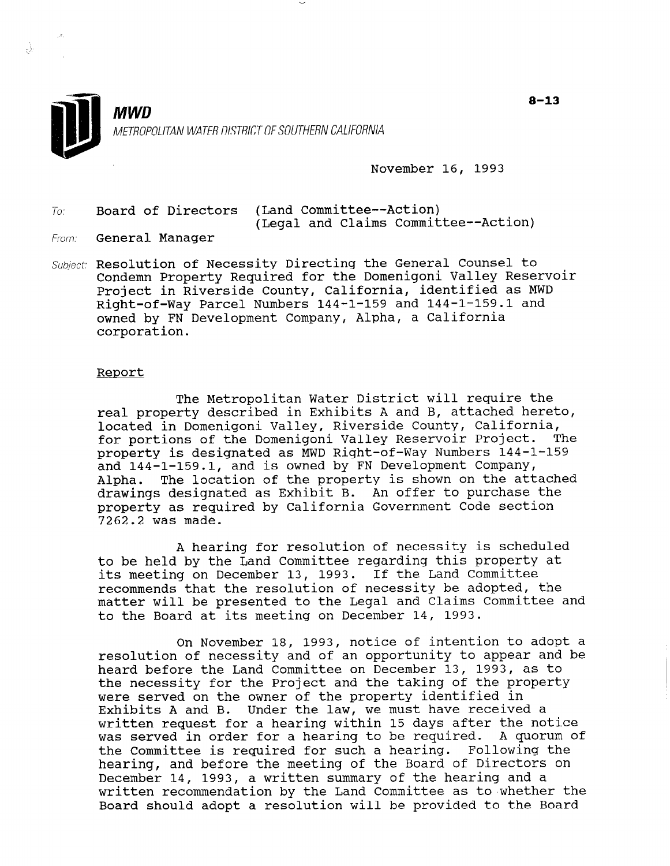

November 16, 1993

To: Board of Directors (Land Committee--Action) (Legal and Claims Committee--Action)

From: **General Manager** 

Å,

Subject: Resolution of Necessity Directing the General Counsel to Condemn Property Required for the Domenigoni Valley Reservoir Project in Riverside County, California, identified as MWD Right-of-Way Parcel Numbers 144-1-159 and 144-1-159.1 and night of may farter numbers issued that is a california cwica by<br>corporati

#### Report

The Metropolitan Water District will require the real property described in Exhibits A and B, attached hereto, real property described in Exhibits A and B, attached he located in Domenigoni Valley, Riverside County, California,<br>for portions of the Domenigoni Valley Reservoir Project. The for portions of the Domenigoni Valley Reservoir Project. property is designated as MWD Right-of-Way Numbers 144-1-159 and 144-1-159.1, and is owned by FN Development Company,<br>Alpha. The location of the property is shown on the att The location of the property is shown on the attached drawings designated as Exhibit B. An offer to purchase the property as required by California Government Code section<br>7262.2 was made.

A hearing for resolution of necessity is scheduled A hearing for resolution of necessity is schedule to be held by the Land Committee regarding this property at its meeting on December 13, 1993. If the Land Committee recommends that the resolution of necessity be adopted, the matter will be presented to the Legal and Claims Committee and to the Board at its meeting on December 14, 1993.

On November 18, 1993, notice of intention to adopt a resolution of necessity and of an opportunity to appear and be heard before the Land Committee on December 13, 1993, as to the necessity for the Project and the taking of the property were served on the owner of the property identified in Exhibits A and B. Under the law, we must have received a written request for a hearing within 15 days after the notice was served in order for a hearing to be required. A quorum of the Committee is required for such a hearing. Following the hearing, and before the meeting of the Board of Directors on December 14, 1993, a written summary of the hearing and a written recommendation by the Land Committee as to whether the Board should adopt a resolution will be provided to the Board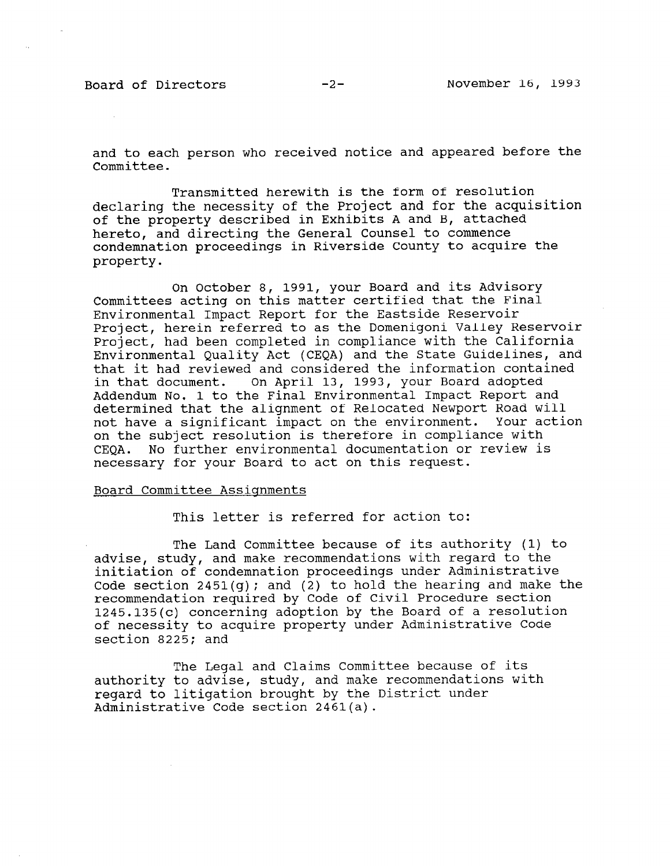and to each person who received notice and appeared before the Committee.

Transmitted herewith is the form of resolution declaring the necessity of the Project and for the acquisition of the property described in Exhibits A and B, attached hereto, and directing the General Counsel to commence condemnation proceedings in Riverside County to acquire the property.

On October 8, 1991, your Board and its Advisory Committees acting on this matter certified that the Final Environmental Impact Report for the Eastside Reservoir Project, herein referred to as the Domenigoni Valley Reservoir Project, had been completed in compliance with the California Environmental Quality Act (CEQA) and the State Guidelines, and that it had reviewed and considered the information contained in that document. On April 13, 1993, your Board adopted in that document. On April 13, 1993, your Board adopted Addendum No. 1 to the Final Environmental Impact Report and determined that the alignment of Relocated Newport Road will not have a significant impact on the environment. Your action on the subject resolution is therefore in compliance with<br>CEOA. No further environmental documentation or review is CEQA. No further environmental documentation or review is<br>necessary for your Board to act on this request.

### Board Committee Assiqnments

This letter is referred for action to:

The Land Committee because of its authority (1) to The Land Committee because of its authority (1) advise, study, and make recommendations with regard to the initiation of condemnation proceedings under Administrative Code section 2451(q); and (2) to hold the hearing and make the recommendation required by Code of Civil Procedure section  $1245.135(c)$  concerning adoption by the Board of a resolution of necessity to acquire property under Administrative Code section 8225; and

The Legal and Claims Committee because of its authority to advise, study, and make recommendations with regard to litigation brought by the District under Administrative Code section 2461(a).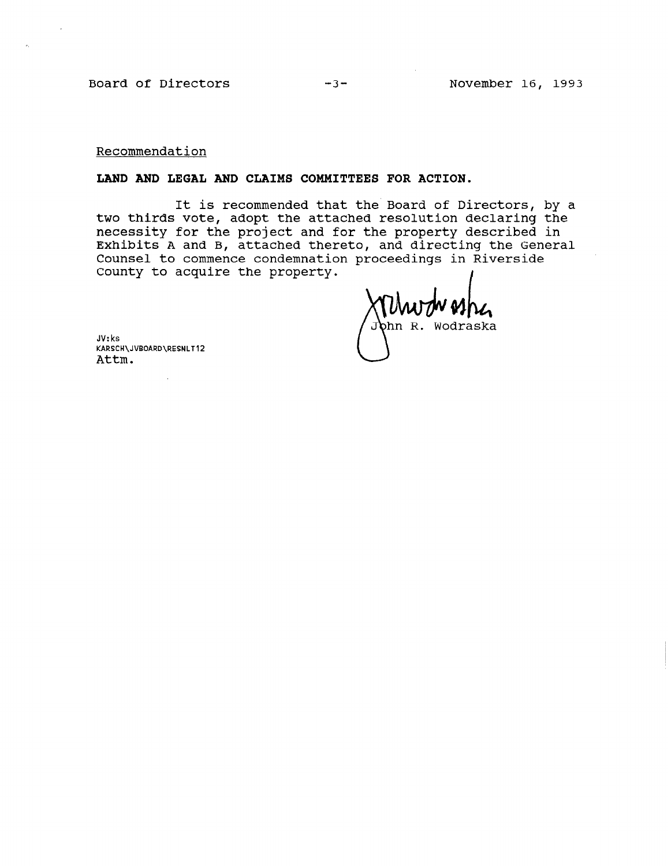Board of Directors -3- November 16, 1993

Recommendation

# LAND AND LEGAL AND CLAIMS COMMITTEES FOR ACTION.

It is recommended that the Board of Directors, by a two thirds vote, adopt the attached resolution declaring the necessity for the project and for the property described in Exhibits A and B, attached thereto, and directing the General Counsel to commence condemnation proceedings in Riverside County to acquire the property.

bhn R. Wodraska

JV: ks KARSCH\JVBOARD\RESNLT12 Attm.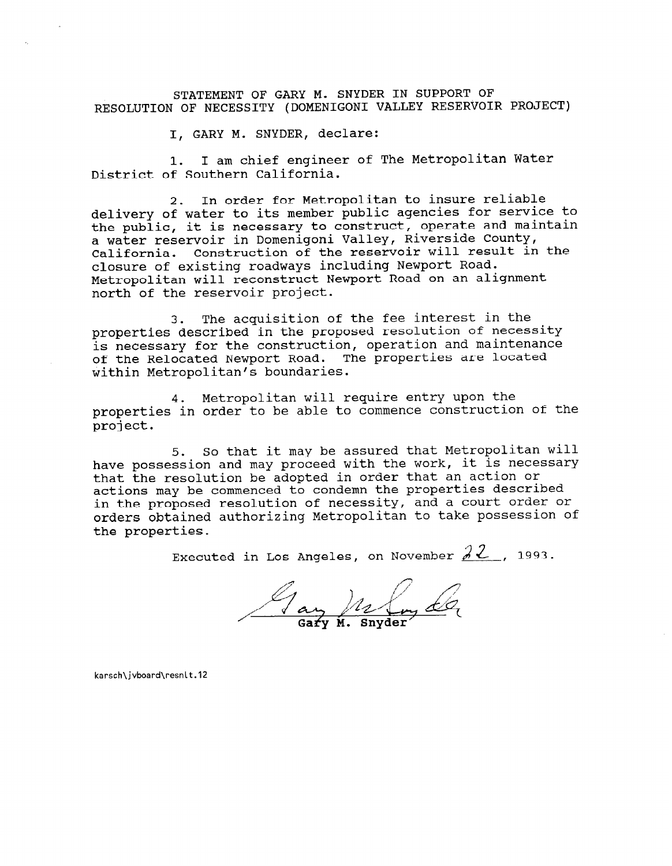STATEMENT OF GARY M. SNYDER IN SUPPORT OF RESOLUTION OF NECESSITY (DOMENIGONI VALLEY RESERVOIR PROJECT)

I, GARY M. SNYDER, declare:

1. I am chief engineer of The Metropolitan Water District of Southern California.

2. In order for Metropolitan to insure reliable delivery of water to its member public agencies for service to the public, it is necessary to construct, operate and maintain a water reservoir in Domenigoni Valley, Riverside County, California. Construction of the reservoir will result in the closure of existing roadways including Newport Road. Metropolitan will reconstruct Newport Road on an alignment north of the reservoir project.

3. The acquisition of the fee interest in the properties described in the proposed resolution of necessity is necessary for the construction, operation and maintenance of the Relocated Newport Road. The properties are located within Metropolitan's boundaries.

4. Metropolitan will require entry upon the properties in order to be able to commence construction of the project.

5. So that it may be assured that Metropolitan will have possession and may proceed with the work, it is necessary that the resolution be adopted in order that an action or actions may be commenced to condemn the properties described in the proposed resolution of necessity, and a court order or orders obtained authorizing Metropolitan to take possession of the properties.

Executed in Los Angeles, on November  $2^2$ , 1993.

Jay M. Snyder

karsch\jvboard\resnlt.12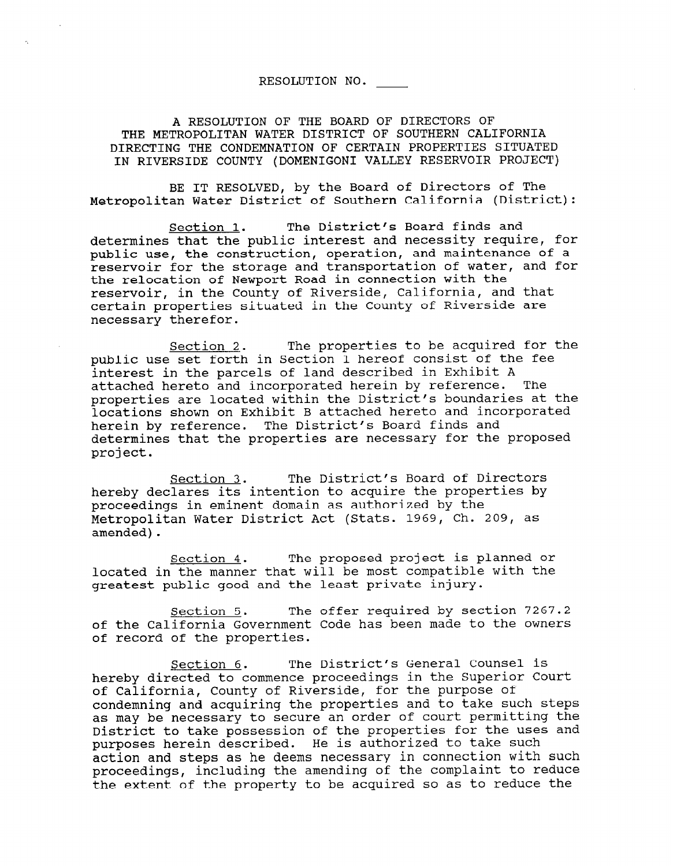# RESOLUTION NO.

A RESOLUTION OF THE BOARD OF DIRECTORS OF THE METROPOLITAN WATER DISTRICT OF SOUTHERN CALIFORNIA DIRECTING THE CONDEMNATION OF CERTAIN PROPERTIES SITUATED IN RIVERSIDE COUNTY (DOMENIGONI VALLEY RESERVOIR PROJECT)

BE IT RESOLVED, by the Board of Directors of The Metropolitan Water District of Southern California (District):

Section 1. The District's Board finds and determines that the public interest and necessity require, for public use, the construction, operation, and maintenance of a reservoir for the storage and transportation of water, and for the relocation of Newport Road in connection with the reservoir, in the County of Riverside, California, and that certain properties situated in the County of Riverside are necessary therefor.

Section 2. The properties to be acquired for the public use set forth in Section 1 hereof consist of the fee interest in the parcels of land described in Exhibit A attached hereto and incorporated herein by reference. The properties are located within the District's boundaries at the locations shown on Exhibit B attached hereto and incorporated herein by reference. The District's Board finds and determines that the properties are necessary for the proposed project.

Section 3. The District's Board of Directors hereby declares its intention to acquire the properties by proceedings in eminent domain as authorized by the Metropolitan Water District Act (Stats. 1969, Ch. 209, as amended).

Section 4. The proposed project is planned or located in the manner that will be most compatible with the greatest public good and the least private injury.

Section 5. The offer required by section 7267.2 of the California Government Code has been made to the owners of record of the properties.

Section 6. The District's General Counsel is hereby directed to commence proceedings in the Superior Court of California, County of Riverside, for the purpose of condemning and acquiring the properties and to take such steps as may be necessary to secure an order of court permitting the District to take possession of the properties for the uses and purposes herein described. He is authorized to take such action and steps as he deems necessary in connection with such proceedings, including the amending of the complaint to reduce the extent of the property to be acquired so as to reduce the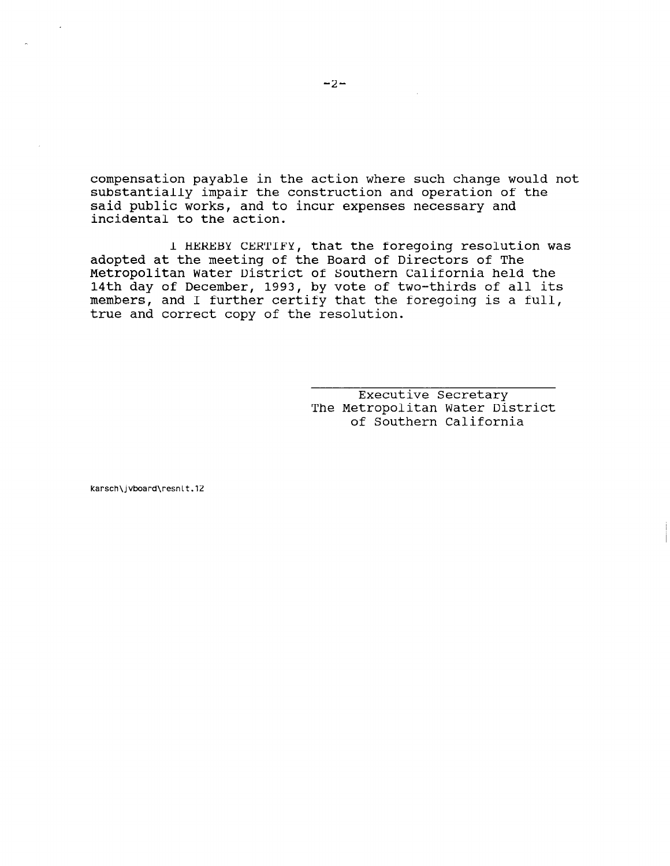compensation payable in the action where such change would not substantially impair the construction and operation of the said public works, and to incur expenses necessary and incidental to the action.

I HEREBY CERTIFY, that the foregoing resolution was adopted at the meeting of the Board of Directors of The Metropolitan Water District of Southern California held the 14th day of December, 1993, by vote of two-thirds of all its members, and I further certify that the foregoing is a full, true and correct copy of the resolution.

> $\frac{1}{2}$ EXECULIVE SECTELARY The Metropolitan Water District<br>of Southern California

karsch\jvboard\resnlt.12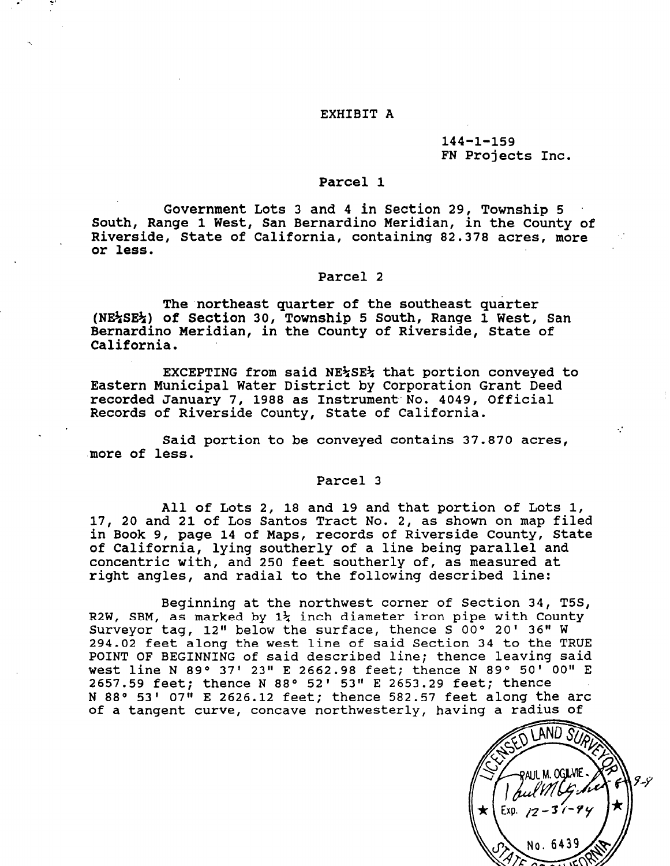#### EXHIBIT A

# 144-1-159 FN Projects Inc.

## Parcel 1

Government Lots 3 and 4 in Section 29, Township 5 South, Range 1 West, San Bernardino Meridian, in the County of Riverside, State of California, containing 82.378 acres, more or less.

#### Parcel 2

The'northeast quarter of the southeast quarter ine nottheast quarter of the southeast quarter.<br>NE+CE+\ of Sostion 30, Township 5 South, Range 1 West, San Bernardino Meridian, in the County of Riverside, State of Bernardino Meridian, in the County of Riverside, State of California.

EXCEPTING from said NE%SE% that portion conveyed to EACEFIING HOM SAIG NEZOEZ UNAU POLUION CONVEYEQ recept municipal water District by Corporation Grant recorded January 7, 1988 as Instrument No. 4049, Official<br>Records of Riverside County, State of California.

Said portion to be conveyed contains 37.870 acres, more of less.

## Parcel 3

All of Lots 2, 18 and 19 and that portion of Lots 1, All of Lots 2, 18 and 19 and that portion of Lots 1 17, 20 and 21 of Los Santos Tract No. 2, as shown on map filed in Book 9, page 14 of Maps, records of Riverside County, State of California, lying southerly of a line being parallel and concentric with, and 250 feet southerly of, as measured at right angles, and radial to the following described line:

Beginning at the northwest corner of Section 34, T5S, R2W, SBM, as marked by  $1\frac{1}{4}$  inch diameter iron pipe with County Surveyor tag, 12" below the surface, thence  $S^0$ 00° 20' 36" W 294.02 feet along the west line of said Section 34 to the TRUE POINT OF BEGINNING of said described line; thence leaving said west line N 89° 37' 23" E 2662.98 feet; thence N 89° 50' 00" E 2657.59 feet; thence N 88° 52' 53" E 2653.29 feet; thence N 88° 53' 07" E 2626.12 feet; thence 582.57 feet along the arc of a tangent curve, concave northwesterly, having a radius of

Exp. No. 6439

 $\mathcal{L}$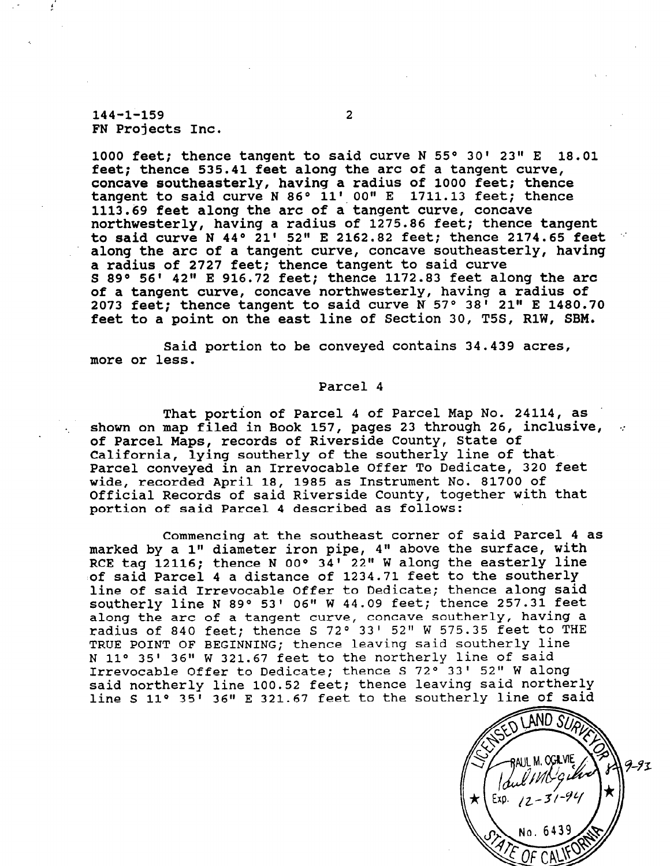144-1-159 2 FN Projects Inc.

1000 feet; thence tangent to said curve N  $55^{\circ}$  30' 23" E  $18.01$ feet; thence 535.41 feet along the arc of a tangent curve, concave southeasterly, having a radius of 1000 feet; thence tangent to said curve N 86° 11' 00" E 1711.13 feet; thence 1113.69 feet along the arc of a tangent curve, concave northwesterly, having a radius of 1275.86 feet; thence tangent to said curve N 44° 21' 52" E 2162.82 feet; thence 2174.65 feet along the arc of a tangent curve, concave southeasterly, having a radius of 2727 feet; thence tangent to said curve S 89° 56' 42" E 916.72 feet; thence 1172.83 feet along the arc of a tangent curve, concave northwesterly, having a radius of 2073 feet; thence tangent to said curve  $N$  57° 38<sup>1</sup> 21" E 1480.70 feet to a point on the east line of Section 30, T5S, RlW, SBM.

Said portion to be conveyed contains 34.439 acres, more or less.

## Parcel 4

That portion of Parcel 4 of Parcel Map No. 24114, as . That portion of Parcel 4 of Parcel map NO. 24114, as<br>shown on map filed in Book 157, pages 22 through 26, inclusive, shown on map riled in Book 157, pages 23 through 20, of Parcel Maps, records of Riverside County, State of California, lying southerly of the southerly line of that Parcel conveyed in an Irrevocable Offer To Dedicate, 320 feet wide, recorded April 18, 1985 as Instrument No. 81700 of Official Records of said Riverside County, together with that portion of said Parcel 4 described as follows:

Commencing at the southeast corner of said Parcel 4 as Commencing at the southeast corner of said Parcel 4 marked by a 1" diameter iron pipe, 4" above the surface, with RCE tag 12116; thence N 00° 34' 22" W along the easterly line of said Parcel 4 a distance of 1234.71 feet to the southerly line of said Irrevocable Offer to Dedicate; thence along said southerly line N 89° 53' 06" W 44.09 feet; thence 257.31 feet along the arc of a tangent curve, concave southerly, having a radius of 840 feet; thence S 72° 33' 52" W 575.35 feet to TRUE POINT OF BEGINNING; thence leaving said southerly line N 11° 35' 36" W 321.67 feet to the northerly line of said Irrevocable Offer to Dedicate; thence S 72° 33' 52" W along said northerly line 100.52 feet; thence leaving said northerly line S 11° 35<sup> $\overline{1}$ </sup> 36" E 321.67 feet to the southerly line of said

AND .S  $9 - 91$ No. 64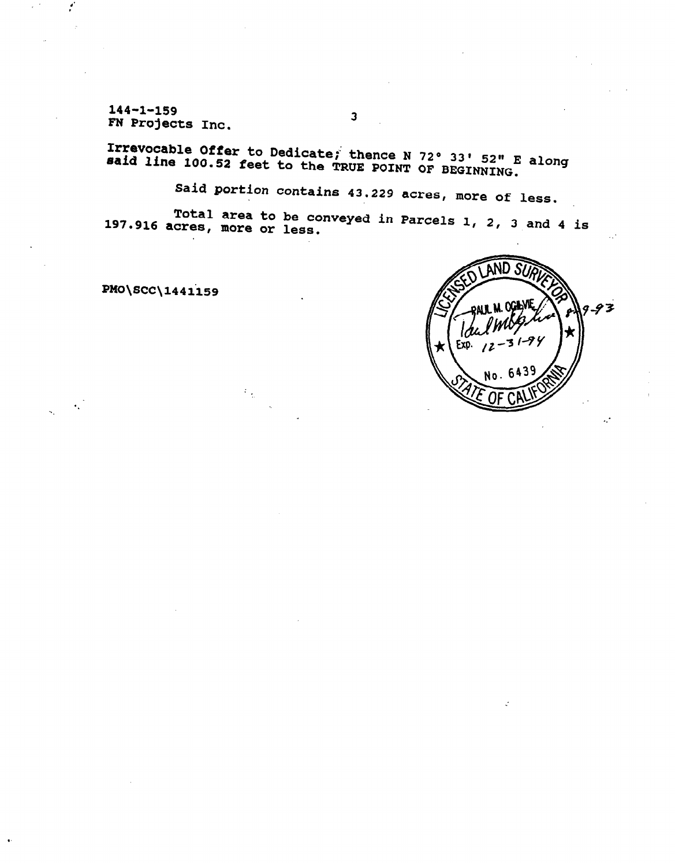-yı 1-1<br>FN Droi FN Projects Inc.

Irrevocable Offer to Dedicate; thence N 72° 33' 52" E alon<br>said line 100.52 feet to the TRUE POINT OF BEGINNING.

3

Said portion contains 43.229 acres, more of less.

197.916 Total area to be acres, more or less. conveyed in Parcels 1, 2, 3 and 4 is

PMO\SCC\144il59

 $\mathcal{F}_{\mathcal{A}}$ 



.: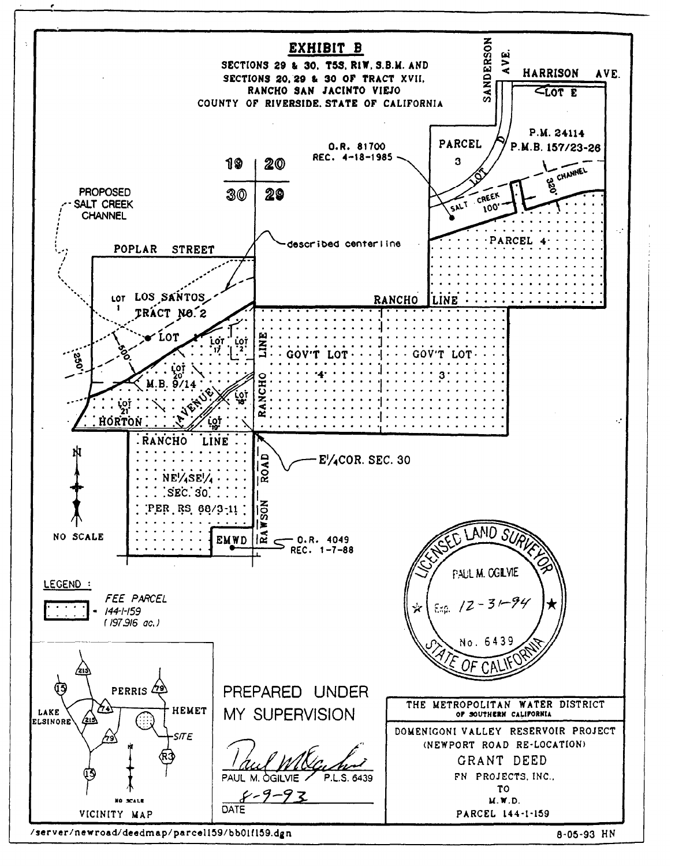

/server/newroad/deedmap/parcel159/bb01f159.dgn

8-05-93 HN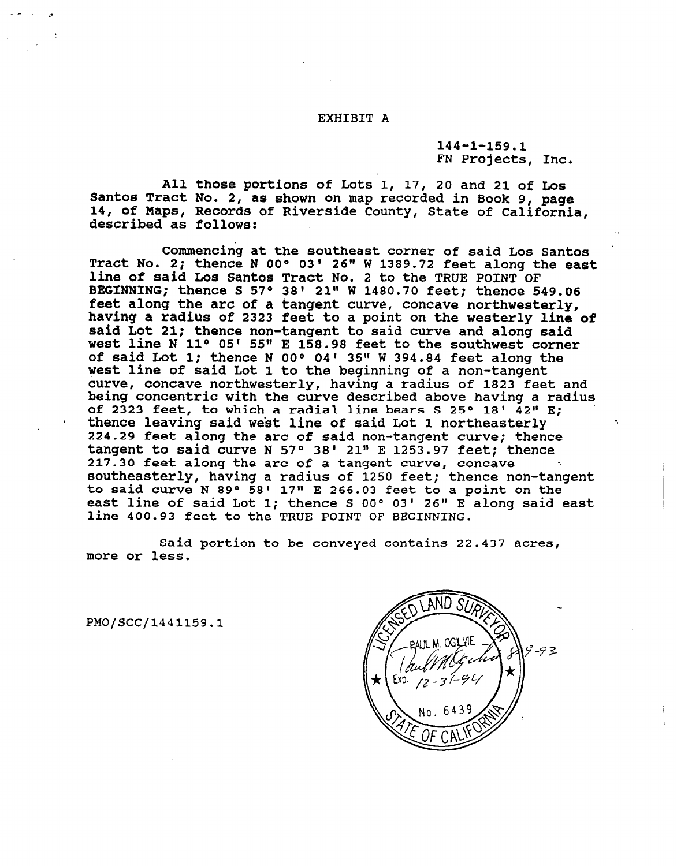#### EXHIBIT A

144-1-159.1 FN Projects, Inc.

All those portions of Lots 1, 17, 20 and 21 of Los Santos Tract No. 2, as shown on map recorded in Book 9, page 14, of Maps, Records of Riverside County, State of California, described as follows:

Commencing at the southeast corner of said Los Santos Tract No. 2; thence N OO" 03' 26" W 1389.72 feet along the east line of said Los Santos Tract No. 2 to the TRUE POINT OF BEGINNING; thence S 57° 38' 21" W 1480.70 feet; thence 549.06 feet along the arc of a tangent curve, concave northwesterly, having a radius of 2323 feet to a point on the westerly line of said Lot 21; thence non-tangent to said curve and along said west line N 11° 05' 55" E 158.98 feet to the southwest corner of said Lot 1; thence N OO" 04' 35" W 394.84 feet along the west line of said Lot 1 to the beginning of a non-tangent curve, concave northwesterly, having a radius of 1823 feet and being concentric with the curve described above having a radius of 2323 feet, to which a radial line bears S 25° 18'  $42$ " E; thence leaving said west line of said Lot 1 northeasterly 224.29 feet along the arc of said non-tangent curve; thence tangent to said curve N 57° 38' 21" E 1253.97 feet; thence 217.30 feet along the arc of a tangent curve, concave southeasterly, having a radius of 1250 feet; thence non-tangent to said curve N 89 $^{\circ}$  58' 17" E 266.03 feet to a point on the east line of said Lot 1; thence S 00° 03' 26" E along said east line 400.93 feet to the TRUE POINT OF BEGINNING.

Said portion to be conveyed contains 22.437 acres, more or less.

PMO/SCC/1441159.1